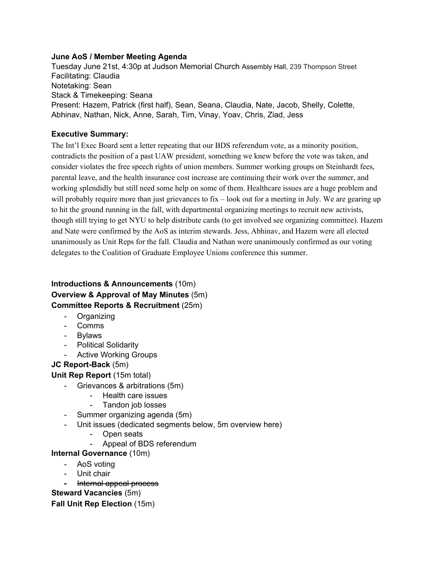### **June AoS / Member Meeting Agenda**

Tuesday June 21st, 4:30p at Judson Memorial Church Assembly Hall, 239 Thompson Street Facilitating: Claudia Notetaking: Sean Stack & Timekeeping: Seana Present: Hazem, Patrick (first half), Sean, Seana, Claudia, Nate, Jacob, Shelly, Colette, Abhinav, Nathan, Nick, Anne, Sarah, Tim, Vinay, Yoav, Chris, Ziad, Jess

### **Executive Summary:**

The Int'l Exec Board sent a letter repeating that our BDS referendum vote, as a minority position, contradicts the position of a past UAW president, something we knew before the vote was taken, and consider violates the free speech rights of union members. Summer working groups on Steinhardt fees, parental leave, and the health insurance cost increase are continuing their work over the summer, and working splendidly but still need some help on some of them. Healthcare issues are a huge problem and will probably require more than just grievances to fix – look out for a meeting in July. We are gearing up to hit the ground running in the fall, with departmental organizing meetings to recruit new activists, though still trying to get NYU to help distribute cards (to get involved see organizing committee). Hazem and Nate were confirmed by the AoS as interim stewards. Jess, Abhinav, and Hazem were all elected unanimously as Unit Reps for the fall. Claudia and Nathan were unanimously confirmed as our voting delegates to the Coalition of Graduate Employee Unions conference this summer.

# **Introductions & Announcements**(10m) **Overview & Approval of May Minutes** (5m) **Committee Reports & Recruitment**(25m)

- Organizing
- Comms
- Bylaws
- Political Solidarity
- Active Working Groups

## **JC** Report-Back (5m)

## **Unit Rep Report** (15m total)

- Grievances & arbitrations (5m)
	- Health care issues
	- Tandon job losses
- Summer organizing agenda (5m)
- Unit issues (dedicated segments below, 5m overview here)
	- Open seats
	- Appeal of BDS referendum

### **Internal Governance**(10m)

- AoS voting
- Unit chair
- Internal appeal process

## **Steward Vacancies**(5m)

**Fall Unit Rep Election**(15m)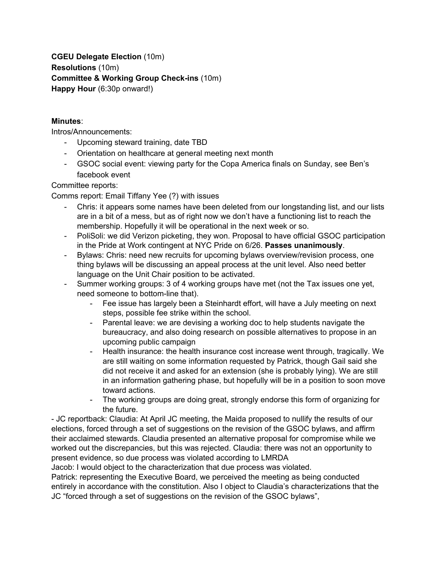**CGEU Delegate Election** (10m) **Resolutions**(10m) **Committee & Working Group Checkins** (10m) **Happy Hour** (6:30p onward!)

### **Minutes**:

Intros/Announcements:

- Upcoming steward training, date TBD
- Orientation on healthcare at general meeting next month
- GSOC social event: viewing party for the Copa America finals on Sunday, see Ben's facebook event

Committee reports:

Comms report: Email Tiffany Yee (?) with issues

- Chris: it appears some names have been deleted from our longstanding list, and our lists are in a bit of a mess, but as of right now we don't have a functioning list to reach the membership. Hopefully it will be operational in the next week or so.
- PoliSoli: we did Verizon picketing, they won. Proposal to have official GSOC participation in the Pride at Work contingent at NYC Pride on 6/26. **Passes unanimously**.
- Bylaws: Chris: need new recruits for upcoming bylaws overview/revision process, one thing bylaws will be discussing an appeal process at the unit level. Also need better language on the Unit Chair position to be activated.
- Summer working groups: 3 of 4 working groups have met (not the Tax issues one yet, need someone to bottom-line that).
	- Fee issue has largely been a Steinhardt effort, will have a July meeting on next steps, possible fee strike within the school.
	- Parental leave: we are devising a working doc to help students navigate the bureaucracy, and also doing research on possible alternatives to propose in an upcoming public campaign
	- Health insurance: the health insurance cost increase went through, tragically. We are still waiting on some information requested by Patrick, though Gail said she did not receive it and asked for an extension (she is probably lying). We are still in an information gathering phase, but hopefully will be in a position to soon move toward actions.
	- The working groups are doing great, strongly endorse this form of organizing for the future.

 JC reportback: Claudia: At April JC meeting, the Maida proposed to nullify the results of our elections, forced through a set of suggestions on the revision of the GSOC bylaws, and affirm their acclaimed stewards. Claudia presented an alternative proposal for compromise while we worked out the discrepancies, but this was rejected. Claudia: there was not an opportunity to present evidence, so due process was violated according to LMRDA

Jacob: I would object to the characterization that due process was violated.

Patrick: representing the Executive Board, we perceived the meeting as being conducted entirely in accordance with the constitution. Also I object to Claudia's characterizations that the JC "forced through a set of suggestions on the revision of the GSOC bylaws",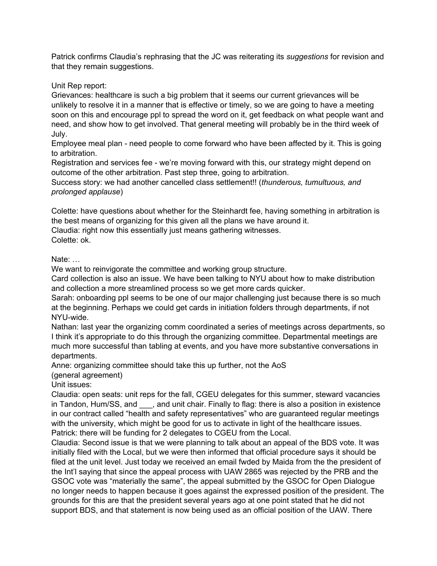Patrick confirms Claudia's rephrasing that the JC was reiterating its *suggestions* for revision and that they remain suggestions.

Unit Rep report:

Grievances: healthcare is such a big problem that it seems our current grievances will be unlikely to resolve it in a manner that is effective or timely, so we are going to have a meeting soon on this and encourage ppl to spread the word on it, get feedback on what people want and need, and show how to get involved. That general meeting will probably be in the third week of July.

Employee meal plan - need people to come forward who have been affected by it. This is going to arbitration.

Registration and services fee we're moving forward with this, our strategy might depend on outcome of the other arbitration. Past step three, going to arbitration.

Success story: we had another cancelled class settlement!! (*thunderous, tumultuous, and prolonged applause*)

Colette: have questions about whether for the Steinhardt fee, having something in arbitration is the best means of organizing for this given all the plans we have around it.

Claudia: right now this essentially just means gathering witnesses.

Colette: ok.

Nate: …

We want to reinvigorate the committee and working group structure.

Card collection is also an issue. We have been talking to NYU about how to make distribution and collection a more streamlined process so we get more cards quicker.

Sarah: onboarding ppl seems to be one of our major challenging just because there is so much at the beginning. Perhaps we could get cards in initiation folders through departments, if not NYU-wide.

Nathan: last year the organizing comm coordinated a series of meetings across departments, so I think it's appropriate to do this through the organizing committee. Departmental meetings are much more successful than tabling at events, and you have more substantive conversations in departments.

Anne: organizing committee should take this up further, not the AoS

(general agreement)

Unit issues:

Claudia: open seats: unit reps for the fall, CGEU delegates for this summer, steward vacancies in Tandon, Hum/SS, and same unit chair. Finally to flag: there is also a position in existence in our contract called "health and safety representatives" who are guaranteed regular meetings with the university, which might be good for us to activate in light of the healthcare issues. Patrick: there will be funding for 2 delegates to CGEU from the Local.

Claudia: Second issue is that we were planning to talk about an appeal of the BDS vote. It was initially filed with the Local, but we were then informed that official procedure says it should be filed at the unit level. Just today we received an email fwded by Maida from the the president of the Int'l saying that since the appeal process with UAW 2865 was rejected by the PRB and the GSOC vote was "materially the same", the appeal submitted by the GSOC for Open Dialogue no longer needs to happen because it goes against the expressed position of the president. The grounds for this are that the president several years ago at one point stated that he did not support BDS, and that statement is now being used as an official position of the UAW. There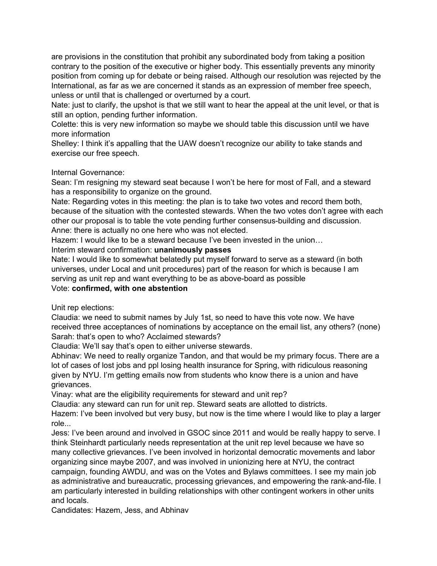are provisions in the constitution that prohibit any subordinated body from taking a position contrary to the position of the executive or higher body. This essentially prevents any minority position from coming up for debate or being raised. Although our resolution was rejected by the International, as far as we are concerned it stands as an expression of member free speech, unless or until that is challenged or overturned by a court.

Nate: just to clarify, the upshot is that we still want to hear the appeal at the unit level, or that is still an option, pending further information.

Colette: this is very new information so maybe we should table this discussion until we have more information

Shelley: I think it's appalling that the UAW doesn't recognize our ability to take stands and exercise our free speech.

### Internal Governance:

Sean: I'm resigning my steward seat because I won't be here for most of Fall, and a steward has a responsibility to organize on the ground.

Nate: Regarding votes in this meeting: the plan is to take two votes and record them both, because of the situation with the contested stewards. When the two votes don't agree with each other our proposal is to table the vote pending further consensus-building and discussion. Anne: there is actually no one here who was not elected.

Hazem: I would like to be a steward because I've been invested in the union…

### Interim steward confirmation: **unanimously passes**

Nate: I would like to somewhat belatedly put myself forward to serve as a steward (in both universes, under Local and unit procedures) part of the reason for which is because I am serving as unit rep and want everything to be as above-board as possible

# Vote: **confirmed, with one abstention**

Unit rep elections:

Claudia: we need to submit names by July 1st, so need to have this vote now. We have received three acceptances of nominations by acceptance on the email list, any others? (none) Sarah: that's open to who? Acclaimed stewards?

Claudia: We'll say that's open to either universe stewards.

Abhinav: We need to really organize Tandon, and that would be my primary focus. There are a lot of cases of lost jobs and ppl losing health insurance for Spring, with ridiculous reasoning given by NYU. I'm getting emails now from students who know there is a union and have grievances.

Vinay: what are the eligibility requirements for steward and unit rep?

Claudia: any steward can run for unit rep. Steward seats are allotted to districts.

Hazem: I've been involved but very busy, but now is the time where I would like to play a larger role...

Jess: I've been around and involved in GSOC since 2011 and would be really happy to serve. I think Steinhardt particularly needs representation at the unit rep level because we have so many collective grievances. I've been involved in horizontal democratic movements and labor organizing since maybe 2007, and was involved in unionizing here at NYU, the contract campaign, founding AWDU, and was on the Votes and Bylaws committees. I see my main job as administrative and bureaucratic, processing grievances, and empowering the rank-and-file. I am particularly interested in building relationships with other contingent workers in other units and locals.

Candidates: Hazem, Jess, and Abhinav